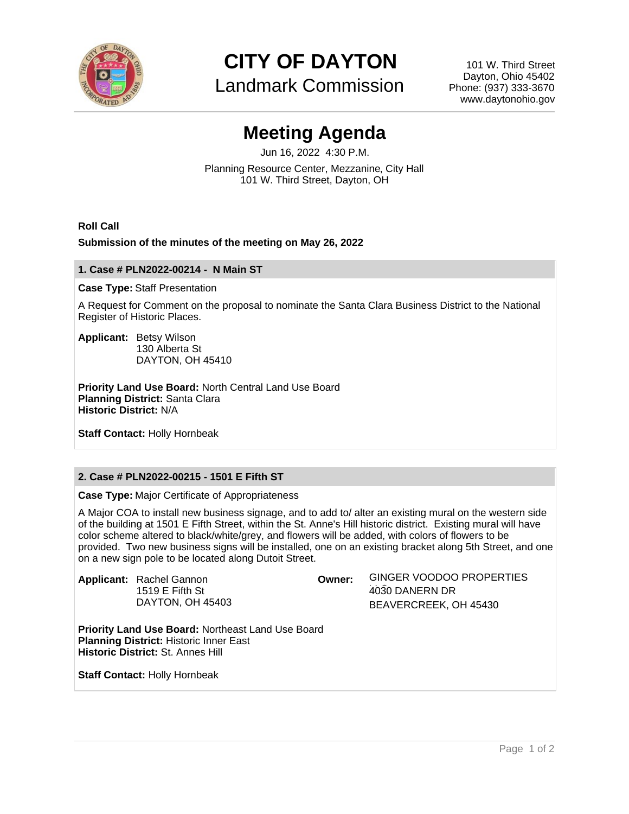

**CITY OF DAYTON**

Landmark Commission

101 W. Third Street Dayton, Ohio 45402 Phone: (937) 333-3670 www.daytonohio.gov

# **Meeting Agenda**

Jun 16, 2022 4:30 P.M. Planning Resource Center, Mezzanine, City Hall 101 W. Third Street, Dayton, OH

### **Roll Call**

#### **Submission of the minutes of the meeting on May 26, 2022**

#### **1. Case # PLN2022-00214 - N Main ST**

#### **Case Type:** Staff Presentation

A Request for Comment on the proposal to nominate the Santa Clara Business District to the National Register of Historic Places.

**Applicant:** Betsy Wilson 130 Alberta St DAYTON, OH 45410

**Priority Land Use Board:** North Central Land Use Board **Planning District:** Santa Clara **Historic District:** N/A

**Staff Contact:** Holly Hornbeak

## **2. Case # PLN2022-00215 - 1501 E Fifth ST**

**Case Type:** Major Certificate of Appropriateness

A Major COA to install new business signage, and to add to/ alter an existing mural on the western side of the building at 1501 E Fifth Street, within the St. Anne's Hill historic district. Existing mural will have color scheme altered to black/white/grey, and flowers will be added, with colors of flowers to be provided. Two new business signs will be installed, one on an existing bracket along 5th Street, and one on a new sign pole to be located along Dutoit Street.

| <b>Applicant:</b> Rachel Gannon<br>1519 $E$ Fifth St<br>DAYTON, OH 45403 | Owner: | GINGER VOODOO PROPERTIES |
|--------------------------------------------------------------------------|--------|--------------------------|
|                                                                          |        | 4030 DANERN DR           |
|                                                                          |        | BEAVERCREEK, OH 45430    |
|                                                                          |        |                          |

**Priority Land Use Board:** Northeast Land Use Board **Planning District:** Historic Inner East **Historic District:** St. Annes Hill

**Staff Contact:** Holly Hornbeak